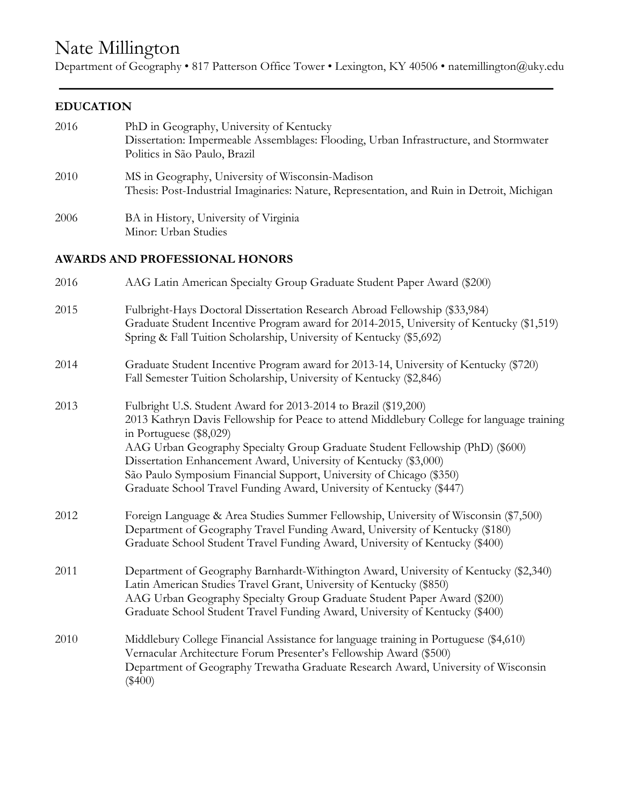# Nate Millington

Department of Geography • 817 Patterson Office Tower • Lexington, KY 40506 • natemillington@uky.edu

# **EDUCATION**

| 2016 | PhD in Geography, University of Kentucky<br>Dissertation: Impermeable Assemblages: Flooding, Urban Infrastructure, and Stormwater<br>Politics in São Paulo, Brazil                                                                                                                                                                                                                                                                                                                            |
|------|-----------------------------------------------------------------------------------------------------------------------------------------------------------------------------------------------------------------------------------------------------------------------------------------------------------------------------------------------------------------------------------------------------------------------------------------------------------------------------------------------|
| 2010 | MS in Geography, University of Wisconsin-Madison<br>Thesis: Post-Industrial Imaginaries: Nature, Representation, and Ruin in Detroit, Michigan                                                                                                                                                                                                                                                                                                                                                |
| 2006 | BA in History, University of Virginia<br>Minor: Urban Studies                                                                                                                                                                                                                                                                                                                                                                                                                                 |
|      | <b>AWARDS AND PROFESSIONAL HONORS</b>                                                                                                                                                                                                                                                                                                                                                                                                                                                         |
| 2016 | AAG Latin American Specialty Group Graduate Student Paper Award (\$200)                                                                                                                                                                                                                                                                                                                                                                                                                       |
| 2015 | Fulbright-Hays Doctoral Dissertation Research Abroad Fellowship (\$33,984)<br>Graduate Student Incentive Program award for 2014-2015, University of Kentucky (\$1,519)<br>Spring & Fall Tuition Scholarship, University of Kentucky (\$5,692)                                                                                                                                                                                                                                                 |
| 2014 | Graduate Student Incentive Program award for 2013-14, University of Kentucky (\$720)<br>Fall Semester Tuition Scholarship, University of Kentucky (\$2,846)                                                                                                                                                                                                                                                                                                                                   |
| 2013 | Fulbright U.S. Student Award for 2013-2014 to Brazil (\$19,200)<br>2013 Kathryn Davis Fellowship for Peace to attend Middlebury College for language training<br>in Portuguese (\$8,029)<br>AAG Urban Geography Specialty Group Graduate Student Fellowship (PhD) (\$600)<br>Dissertation Enhancement Award, University of Kentucky (\$3,000)<br>São Paulo Symposium Financial Support, University of Chicago (\$350)<br>Graduate School Travel Funding Award, University of Kentucky (\$447) |
| 2012 | Foreign Language & Area Studies Summer Fellowship, University of Wisconsin (\$7,500)<br>Department of Geography Travel Funding Award, University of Kentucky (\$180)<br>Graduate School Student Travel Funding Award, University of Kentucky (\$400)                                                                                                                                                                                                                                          |
| 2011 | Department of Geography Barnhardt-Withington Award, University of Kentucky (\$2,340)<br>Latin American Studies Travel Grant, University of Kentucky (\$850)<br>AAG Urban Geography Specialty Group Graduate Student Paper Award (\$200)<br>Graduate School Student Travel Funding Award, University of Kentucky (\$400)                                                                                                                                                                       |
| 2010 | Middlebury College Financial Assistance for language training in Portuguese (\$4,610)<br>Vernacular Architecture Forum Presenter's Fellowship Award (\$500)<br>Department of Geography Trewatha Graduate Research Award, University of Wisconsin<br>$(\$400)$                                                                                                                                                                                                                                 |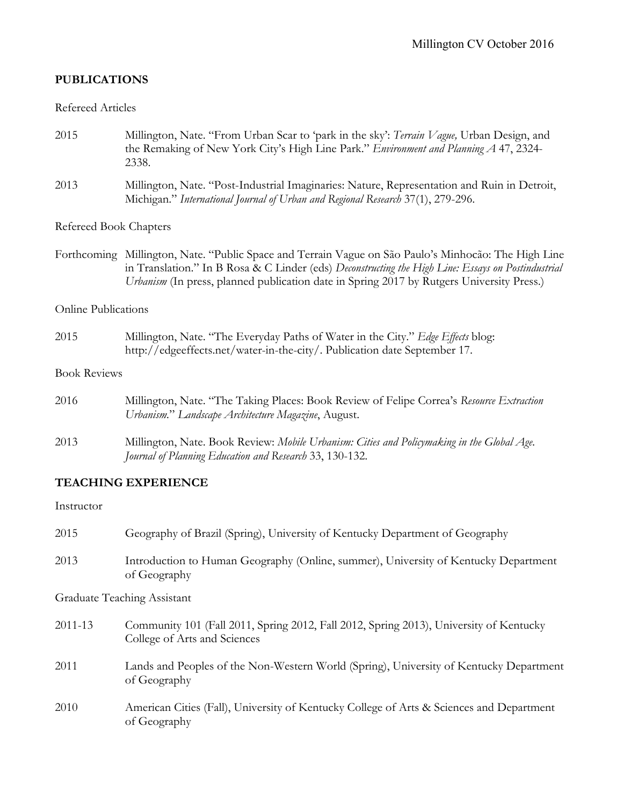# **PUBLICATIONS**

#### Refereed Articles

- 2015 Millington, Nate. "From Urban Scar to 'park in the sky': *Terrain Vague,* Urban Design, and the Remaking of New York City's High Line Park." *Environment and Planning A* 47, 2324- 2338.
- 2013 Millington, Nate. "Post-Industrial Imaginaries: Nature, Representation and Ruin in Detroit, Michigan." *International Journal of Urban and Regional Research* 37(1), 279-296.

Refereed Book Chapters

Forthcoming Millington, Nate. "Public Space and Terrain Vague on São Paulo's Minhocão: The High Line in Translation." In B Rosa & C Linder (eds) *Deconstructing the High Line: Essays on Postindustrial Urbanism* (In press, planned publication date in Spring 2017 by Rutgers University Press.)

#### Online Publications

2015 Millington, Nate. "The Everyday Paths of Water in the City." *Edge Effects* blog: http://edgeeffects.net/water-in-the-city/. Publication date September 17.

#### Book Reviews

| 2016 | Millington, Nate. "The Taking Places: Book Review of Felipe Correa's Resource Extraction   |
|------|--------------------------------------------------------------------------------------------|
|      | Urbanism." Landscape Architecture Magazine, August.                                        |
| 2013 | Millington, Nate. Book Review: Mobile Urbanism: Cities and Policymaking in the Global Age. |
|      | Journal of Planning Education and Research 33, 130-132.                                    |

## **TEACHING EXPERIENCE**

#### Instructor

| 2015        | Geography of Brazil (Spring), University of Kentucky Department of Geography                                           |
|-------------|------------------------------------------------------------------------------------------------------------------------|
| 2013        | Introduction to Human Geography (Online, summer), University of Kentucky Department<br>of Geography                    |
|             | Graduate Teaching Assistant                                                                                            |
| $2011 - 13$ | Community 101 (Fall 2011, Spring 2012, Fall 2012, Spring 2013), University of Kentucky<br>College of Arts and Sciences |
| 2011        | Lands and Peoples of the Non-Western World (Spring), University of Kentucky Department<br>of Geography                 |
| 2010        | American Cities (Fall), University of Kentucky College of Arts & Sciences and Department<br>of Geography               |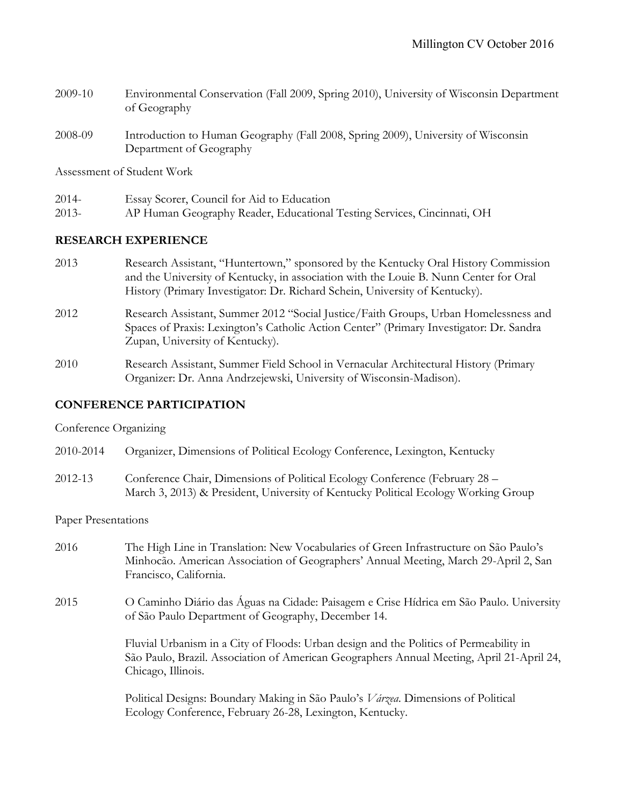- 2009-10 Environmental Conservation (Fall 2009, Spring 2010), University of Wisconsin Department of Geography
- 2008-09 Introduction to Human Geography (Fall 2008, Spring 2009), University of Wisconsin Department of Geography

Assessment of Student Work

- 2014- Essay Scorer, Council for Aid to Education
- 2013- AP Human Geography Reader, Educational Testing Services, Cincinnati, OH

#### **RESEARCH EXPERIENCE**

- 2013 Research Assistant, "Huntertown," sponsored by the Kentucky Oral History Commission and the University of Kentucky, in association with the Louie B. Nunn Center for Oral History (Primary Investigator: Dr. Richard Schein, University of Kentucky).
- 2012 Research Assistant, Summer 2012 "Social Justice/Faith Groups, Urban Homelessness and Spaces of Praxis: Lexington's Catholic Action Center" (Primary Investigator: Dr. Sandra Zupan, University of Kentucky).
- 2010 Research Assistant, Summer Field School in Vernacular Architectural History (Primary Organizer: Dr. Anna Andrzejewski, University of Wisconsin-Madison).

# **CONFERENCE PARTICIPATION**

#### Conference Organizing

- 2010-2014 Organizer, Dimensions of Political Ecology Conference, Lexington, Kentucky
- 2012-13 Conference Chair, Dimensions of Political Ecology Conference (February 28 March 3, 2013) & President, University of Kentucky Political Ecology Working Group

#### Paper Presentations

- 2016 The High Line in Translation: New Vocabularies of Green Infrastructure on São Paulo's Minhocão. American Association of Geographers' Annual Meeting, March 29-April 2, San Francisco, California.
- 2015 O Caminho Diário das Águas na Cidade: Paisagem e Crise Hídrica em São Paulo. University of São Paulo Department of Geography, December 14.

Fluvial Urbanism in a City of Floods: Urban design and the Politics of Permeability in São Paulo, Brazil. Association of American Geographers Annual Meeting, April 21-April 24, Chicago, Illinois.

 Political Designs: Boundary Making in São Paulo's *Várzea*. Dimensions of Political Ecology Conference, February 26-28, Lexington, Kentucky.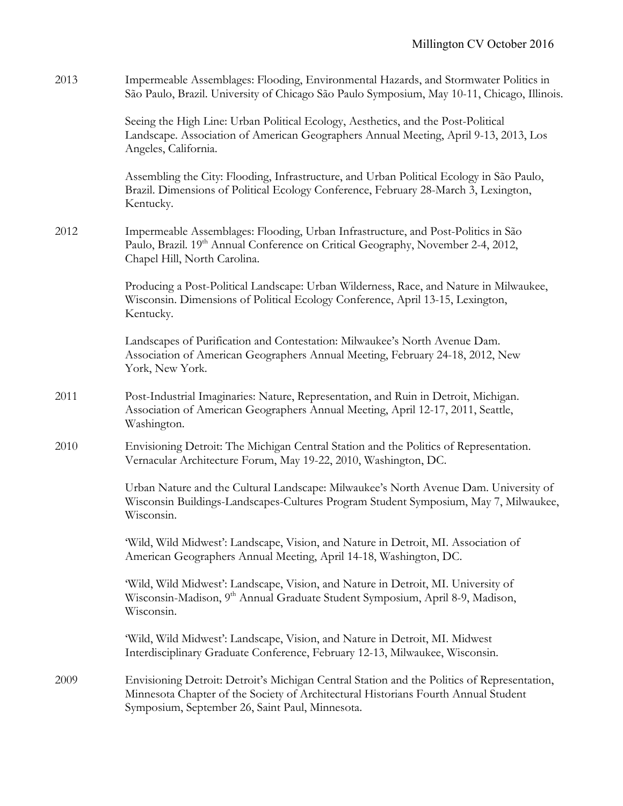| 2013 | Impermeable Assemblages: Flooding, Environmental Hazards, and Stormwater Politics in<br>São Paulo, Brazil. University of Chicago São Paulo Symposium, May 10-11, Chicago, Illinois.                                                  |
|------|--------------------------------------------------------------------------------------------------------------------------------------------------------------------------------------------------------------------------------------|
|      | Seeing the High Line: Urban Political Ecology, Aesthetics, and the Post-Political<br>Landscape. Association of American Geographers Annual Meeting, April 9-13, 2013, Los<br>Angeles, California.                                    |
|      | Assembling the City: Flooding, Infrastructure, and Urban Political Ecology in São Paulo,<br>Brazil. Dimensions of Political Ecology Conference, February 28-March 3, Lexington,<br>Kentucky.                                         |
| 2012 | Impermeable Assemblages: Flooding, Urban Infrastructure, and Post-Politics in São<br>Paulo, Brazil. 19 <sup>th</sup> Annual Conference on Critical Geography, November 2-4, 2012,<br>Chapel Hill, North Carolina.                    |
|      | Producing a Post-Political Landscape: Urban Wilderness, Race, and Nature in Milwaukee,<br>Wisconsin. Dimensions of Political Ecology Conference, April 13-15, Lexington,<br>Kentucky.                                                |
|      | Landscapes of Purification and Contestation: Milwaukee's North Avenue Dam.<br>Association of American Geographers Annual Meeting, February 24-18, 2012, New<br>York, New York.                                                       |
| 2011 | Post-Industrial Imaginaries: Nature, Representation, and Ruin in Detroit, Michigan.<br>Association of American Geographers Annual Meeting, April 12-17, 2011, Seattle,<br>Washington.                                                |
| 2010 | Envisioning Detroit: The Michigan Central Station and the Politics of Representation.<br>Vernacular Architecture Forum, May 19-22, 2010, Washington, DC.                                                                             |
|      | Urban Nature and the Cultural Landscape: Milwaukee's North Avenue Dam. University of<br>Wisconsin Buildings-Landscapes-Cultures Program Student Symposium, May 7, Milwaukee,<br>Wisconsin.                                           |
|      | 'Wild, Wild Midwest': Landscape, Vision, and Nature in Detroit, MI. Association of<br>American Geographers Annual Meeting, April 14-18, Washington, DC.                                                                              |
|      | 'Wild, Wild Midwest': Landscape, Vision, and Nature in Detroit, MI. University of<br>Wisconsin-Madison, 9 <sup>th</sup> Annual Graduate Student Symposium, April 8-9, Madison,<br>Wisconsin.                                         |
|      | 'Wild, Wild Midwest': Landscape, Vision, and Nature in Detroit, MI. Midwest<br>Interdisciplinary Graduate Conference, February 12-13, Milwaukee, Wisconsin.                                                                          |
| 2009 | Envisioning Detroit: Detroit's Michigan Central Station and the Politics of Representation,<br>Minnesota Chapter of the Society of Architectural Historians Fourth Annual Student<br>Symposium, September 26, Saint Paul, Minnesota. |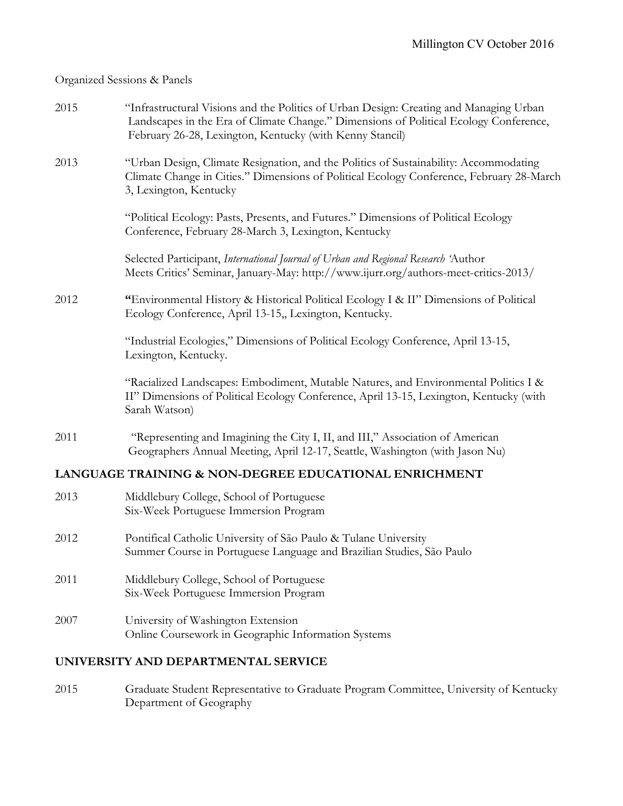#### Organized Sessions & Panels

| 2015 | "Infrastructural Visions and the Politics of Urban Design: Creating and Managing Urban |
|------|----------------------------------------------------------------------------------------|
|      | Landscapes in the Era of Climate Change." Dimensions of Political Ecology Conference,  |
|      | February 26-28, Lexington, Kentucky (with Kenny Stancil)                               |

2013 "Urban Design, Climate Resignation, and the Politics of Sustainability: Accommodating Climate Change in Cities." Dimensions of Political Ecology Conference, February 28-March 3, Lexington, Kentucky

> "Political Ecology: Pasts, Presents, and Futures." Dimensions of Political Ecology Conference, February 28-March 3, Lexington, Kentucky

 Selected Participant, *International Journal of Urban and Regional Research '*Author Meets Critics' Seminar, January-May: http://www.ijurr.org/authors-meet-critics-2013/

2012 **"**Environmental History & Historical Political Ecology I & II" Dimensions of Political Ecology Conference, April 13-15,, Lexington, Kentucky.

> "Industrial Ecologies," Dimensions of Political Ecology Conference, April 13-15, Lexington, Kentucky.

 "Racialized Landscapes: Embodiment, Mutable Natures, and Environmental Politics I & II" Dimensions of Political Ecology Conference, April 13-15, Lexington, Kentucky (with Sarah Watson)

2011 "Representing and Imagining the City I, II, and III," Association of American Geographers Annual Meeting, April 12-17, Seattle, Washington (with Jason Nu)

## **LANGUAGE TRAINING & NON-DEGREE EDUCATIONAL ENRICHMENT**

- 2013 Middlebury College, School of Portuguese Six-Week Portuguese Immersion Program
- 2012 Pontifical Catholic University of São Paulo & Tulane University Summer Course in Portuguese Language and Brazilian Studies, São Paulo
- 2011 Middlebury College, School of Portuguese Six-Week Portuguese Immersion Program
- 2007 University of Washington Extension Online Coursework in Geographic Information Systems

## **UNIVERSITY AND DEPARTMENTAL SERVICE**

2015 Graduate Student Representative to Graduate Program Committee, University of Kentucky Department of Geography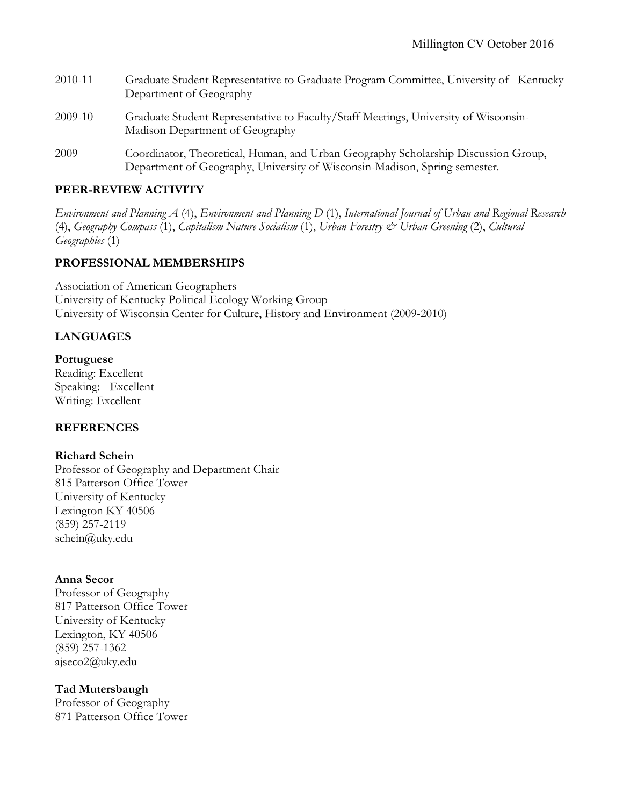| 2010-11 | Graduate Student Representative to Graduate Program Committee, University of Kentucky<br>Department of Geography                                                 |
|---------|------------------------------------------------------------------------------------------------------------------------------------------------------------------|
| 2009-10 | Graduate Student Representative to Faculty/Staff Meetings, University of Wisconsin-<br>Madison Department of Geography                                           |
| 2009    | Coordinator, Theoretical, Human, and Urban Geography Scholarship Discussion Group,<br>Department of Geography, University of Wisconsin-Madison, Spring semester. |

# **PEER-REVIEW ACTIVITY**

*Environment and Planning A* (4), *Environment and Planning D* (1), *International Journal of Urban and Regional Research* (4), *Geography Compass* (1), *Capitalism Nature Socialism* (1), *Urban Forestry & Urban Greening* (2), *Cultural Geographies* (1)

# **PROFESSIONAL MEMBERSHIPS**

Association of American Geographers University of Kentucky Political Ecology Working Group University of Wisconsin Center for Culture, History and Environment (2009-2010)

# **LANGUAGES**

## **Portuguese**

Reading: Excellent Speaking: Excellent Writing: Excellent

# **REFERENCES**

## **Richard Schein**

Professor of Geography and Department Chair 815 Patterson Office Tower University of Kentucky Lexington KY 40506 (859) 257-2119 schein@uky.edu

## **Anna Secor**

Professor of Geography 817 Patterson Office Tower University of Kentucky Lexington, KY 40506 (859) 257-1362 ajseco2@uky.edu

## **Tad Mutersbaugh**

Professor of Geography 871 Patterson Office Tower